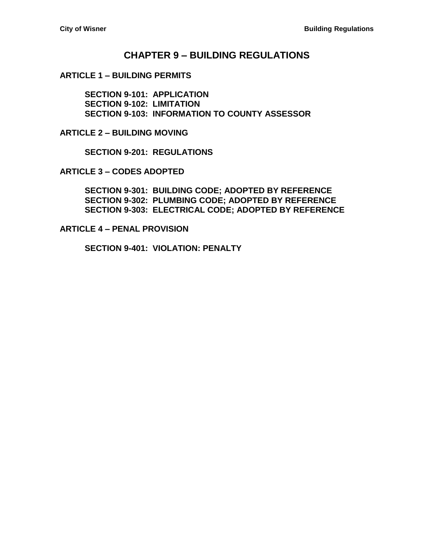### **CHAPTER 9 – [BUILDING REGULATIONS](#page-2-0)**

#### **ARTICLE 1 – [BUILDING PERMITS](#page-2-1)**

**[SECTION 9-101: APPLICATION](#page-2-2) [SECTION 9-102: LIMITATION](#page-2-3) [SECTION 9-103: INFORMATION TO](#page-2-4) COUNTY ASSESSOR**

**ARTICLE 2 – [BUILDING MOVING](#page-4-0)**

**[SECTION 9-201: REGULATIONS](#page-4-1)**

**ARTICLE 3 – [CODES ADOPTED](#page-6-0)**

**[SECTION 9-301: BUILDING CODE;](#page-6-1) ADOPTED BY REFERENCE [SECTION 9-302: PLUMBING CODE;](#page-6-2) ADOPTED BY REFERENCE [SECTION 9-303: ELECTRICAL CODE; ADOPTED BY REFERENCE](#page-6-3)**

**ARTICLE 4 – [PENAL PROVISION](#page-8-0)**

**[SECTION 9-401: VIOLATION: PENALTY](#page-8-1)**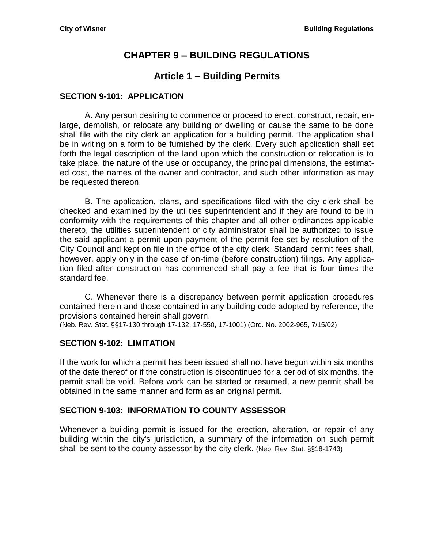# **CHAPTER 9 – BUILDING REGULATIONS**

# **Article 1 – Building Permits**

#### <span id="page-2-2"></span><span id="page-2-1"></span><span id="page-2-0"></span>**SECTION 9-101: APPLICATION**

A. Any person desiring to commence or proceed to erect, construct, repair, enlarge, demolish, or relocate any building or dwelling or cause the same to be done shall file with the city clerk an application for a building permit. The application shall be in writing on a form to be furnished by the clerk. Every such application shall set forth the legal description of the land upon which the construction or relocation is to take place, the nature of the use or occupancy, the principal dimensions, the estimated cost, the names of the owner and contractor, and such other information as may be requested thereon.

B. The application, plans, and specifications filed with the city clerk shall be checked and examined by the utilities superintendent and if they are found to be in conformity with the requirements of this chapter and all other ordinances applicable thereto, the utilities superintendent or city administrator shall be authorized to issue the said applicant a permit upon payment of the permit fee set by resolution of the City Council and kept on file in the office of the city clerk. Standard permit fees shall, however, apply only in the case of on-time (before construction) filings. Any application filed after construction has commenced shall pay a fee that is four times the standard fee.

C. Whenever there is a discrepancy between permit application procedures contained herein and those contained in any building code adopted by reference, the provisions contained herein shall govern.

(Neb. Rev. Stat. §§17-130 through 17-132, 17-550, 17-1001) (Ord. No. 2002-965, 7/15/02)

#### <span id="page-2-3"></span>**SECTION 9-102: LIMITATION**

If the work for which a permit has been issued shall not have begun within six months of the date thereof or if the construction is discontinued for a period of six months, the permit shall be void. Before work can be started or resumed, a new permit shall be obtained in the same manner and form as an original permit.

### <span id="page-2-4"></span>**SECTION 9-103: INFORMATION TO COUNTY ASSESSOR**

Whenever a building permit is issued for the erection, alteration, or repair of any building within the city's jurisdiction, a summary of the information on such permit shall be sent to the county assessor by the city clerk. (Neb. Rev. Stat. §§18-1743)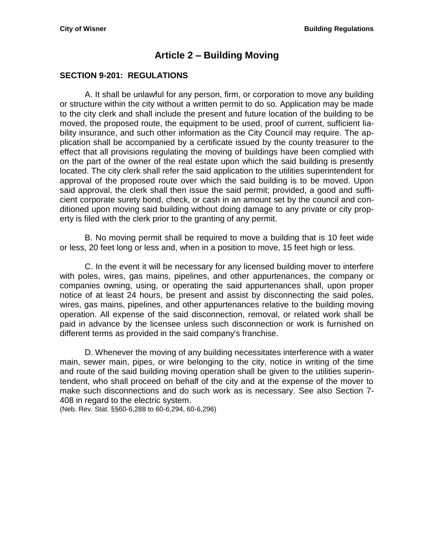# **Article 2 – Building Moving**

#### <span id="page-4-1"></span><span id="page-4-0"></span>**SECTION 9-201: REGULATIONS**

A. It shall be unlawful for any person, firm, or corporation to move any building or structure within the city without a written permit to do so. Application may be made to the city clerk and shall include the present and future location of the building to be moved, the proposed route, the equipment to be used, proof of current, sufficient liability insurance, and such other information as the City Council may require. The application shall be accompanied by a certificate issued by the county treasurer to the effect that all provisions regulating the moving of buildings have been complied with on the part of the owner of the real estate upon which the said building is presently located. The city clerk shall refer the said application to the utilities superintendent for approval of the proposed route over which the said building is to be moved. Upon said approval, the clerk shall then issue the said permit; provided, a good and sufficient corporate surety bond, check, or cash in an amount set by the council and conditioned upon moving said building without doing damage to any private or city property is filed with the clerk prior to the granting of any permit.

B. No moving permit shall be required to move a building that is 10 feet wide or less, 20 feet long or less and, when in a position to move, 15 feet high or less.

C. In the event it will be necessary for any licensed building mover to interfere with poles, wires, gas mains, pipelines, and other appurtenances, the company or companies owning, using, or operating the said appurtenances shall, upon proper notice of at least 24 hours, be present and assist by disconnecting the said poles, wires, gas mains, pipelines, and other appurtenances relative to the building moving operation. All expense of the said disconnection, removal, or related work shall be paid in advance by the licensee unless such disconnection or work is furnished on different terms as provided in the said company's franchise.

D. Whenever the moving of any building necessitates interference with a water main, sewer main, pipes, or wire belonging to the city, notice in writing of the time and route of the said building moving operation shall be given to the utilities superintendent, who shall proceed on behalf of the city and at the expense of the mover to make such disconnections and do such work as is necessary. See also Section 7- 408 in regard to the electric system.

(Neb. Rev. Stat. §§60-6,288 to 60-6,294, 60-6,296)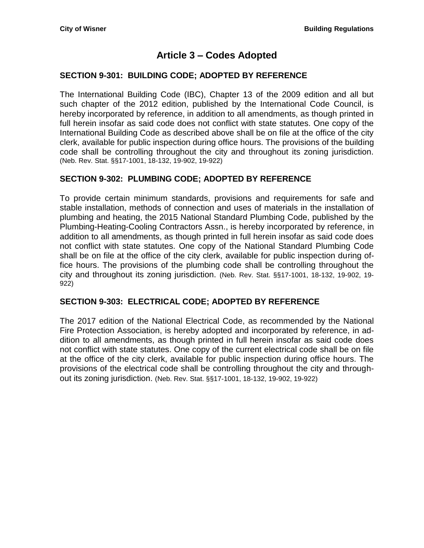# **Article 3 – Codes Adopted**

#### <span id="page-6-1"></span><span id="page-6-0"></span>**SECTION 9-301: BUILDING CODE; ADOPTED BY REFERENCE**

The International Building Code (IBC), Chapter 13 of the 2009 edition and all but such chapter of the 2012 edition, published by the International Code Council, is hereby incorporated by reference, in addition to all amendments, as though printed in full herein insofar as said code does not conflict with state statutes. One copy of the International Building Code as described above shall be on file at the office of the city clerk, available for public inspection during office hours. The provisions of the building code shall be controlling throughout the city and throughout its zoning jurisdiction. (Neb. Rev. Stat. §§17-1001, 18-132, 19-902, 19-922)

### <span id="page-6-2"></span>**SECTION 9-302: PLUMBING CODE; ADOPTED BY REFERENCE**

To provide certain minimum standards, provisions and requirements for safe and stable installation, methods of connection and uses of materials in the installation of plumbing and heating, the 2015 National Standard Plumbing Code, published by the Plumbing-Heating-Cooling Contractors Assn., is hereby incorporated by reference, in addition to all amendments, as though printed in full herein insofar as said code does not conflict with state statutes. One copy of the National Standard Plumbing Code shall be on file at the office of the city clerk, available for public inspection during office hours. The provisions of the plumbing code shall be controlling throughout the city and throughout its zoning jurisdiction. (Neb. Rev. Stat. §§17-1001, 18-132, 19-902, 19- 922)

#### <span id="page-6-3"></span>**SECTION 9-303: ELECTRICAL CODE; ADOPTED BY REFERENCE**

The 2017 edition of the National Electrical Code, as recommended by the National Fire Protection Association, is hereby adopted and incorporated by reference, in addition to all amendments, as though printed in full herein insofar as said code does not conflict with state statutes. One copy of the current electrical code shall be on file at the office of the city clerk, available for public inspection during office hours. The provisions of the electrical code shall be controlling throughout the city and throughout its zoning jurisdiction. (Neb. Rev. Stat. §§17-1001, 18-132, 19-902, 19-922)